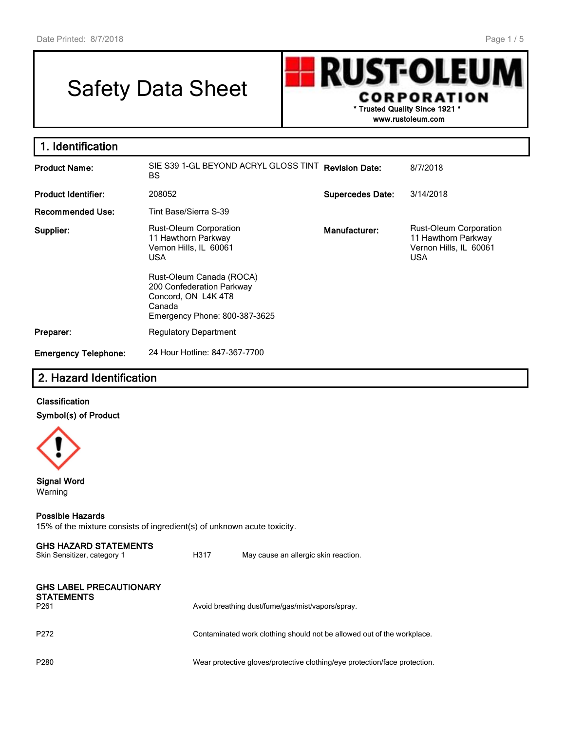# Safety Data Sheet

**RUST-OLEU CORPORATION \* Trusted Quality Since 1921 \***

**www.rustoleum.com**

| 1. Identification           |                                                                                                                                                |                         |                                                                                              |
|-----------------------------|------------------------------------------------------------------------------------------------------------------------------------------------|-------------------------|----------------------------------------------------------------------------------------------|
| <b>Product Name:</b>        | SIE S39 1-GL BEYOND ACRYL GLOSS TINT<br>BS.                                                                                                    | <b>Revision Date:</b>   | 8/7/2018                                                                                     |
| <b>Product Identifier:</b>  | 208052                                                                                                                                         | <b>Supercedes Date:</b> | 3/14/2018                                                                                    |
| <b>Recommended Use:</b>     | Tint Base/Sierra S-39                                                                                                                          |                         |                                                                                              |
| Supplier:                   | Rust-Oleum Corporation<br>11 Hawthorn Parkway<br>Vernon Hills, IL 60061<br><b>USA</b><br>Rust-Oleum Canada (ROCA)<br>200 Confederation Parkway | Manufacturer:           | <b>Rust-Oleum Corporation</b><br>11 Hawthorn Parkway<br>Vernon Hills, IL 60061<br><b>USA</b> |
|                             | Concord, ON L4K4T8<br>Canada<br>Emergency Phone: 800-387-3625                                                                                  |                         |                                                                                              |
| Preparer:                   | <b>Regulatory Department</b>                                                                                                                   |                         |                                                                                              |
| <b>Emergency Telephone:</b> | 24 Hour Hotline: 847-367-7700                                                                                                                  |                         |                                                                                              |

# **2. Hazard Identification**

#### **Classification Symbol(s) of Product**



**Signal Word** Warning

#### **Possible Hazards**

15% of the mixture consists of ingredient(s) of unknown acute toxicity.

| <b>GHS HAZARD STATEMENTS</b><br>Skin Sensitizer, category 1             | H317 | May cause an allergic skin reaction.                                       |
|-------------------------------------------------------------------------|------|----------------------------------------------------------------------------|
| <b>GHS LABEL PRECAUTIONARY</b><br><b>STATEMENTS</b><br>P <sub>261</sub> |      | Avoid breathing dust/fume/gas/mist/vapors/spray.                           |
| P <sub>272</sub>                                                        |      | Contaminated work clothing should not be allowed out of the workplace.     |
| P <sub>280</sub>                                                        |      | Wear protective gloves/protective clothing/eye protection/face protection. |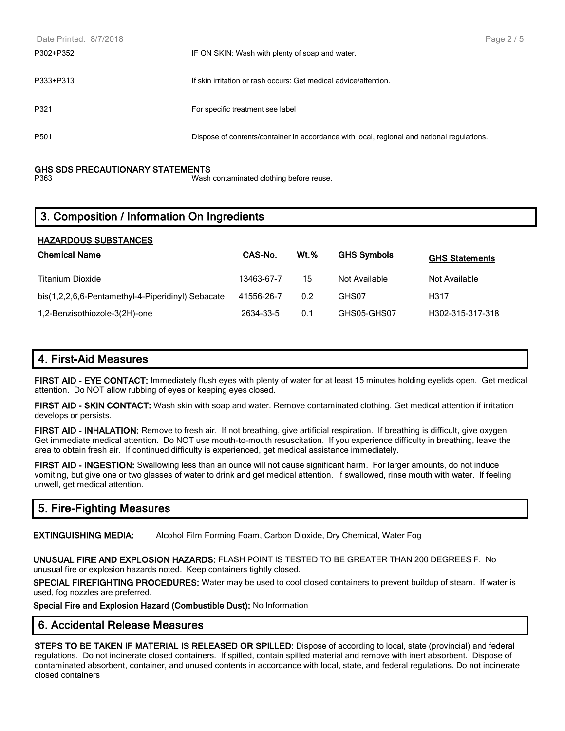| Date Printed: 8/7/2018 |                                                                                            | Page 2 / 5 |
|------------------------|--------------------------------------------------------------------------------------------|------------|
| P302+P352              | IF ON SKIN: Wash with plenty of soap and water.                                            |            |
| P333+P313              | If skin irritation or rash occurs: Get medical advice/attention.                           |            |
| P321                   | For specific treatment see label                                                           |            |
| P <sub>501</sub>       | Dispose of contents/container in accordance with local, regional and national regulations. |            |

# **GHS SDS PRECAUTIONARY STATEMENTS**

Wash contaminated clothing before reuse.

# **3. Composition / Information On Ingredients**

| <b>HAZARDOUS SUBSTANCES</b>                       |            |             |                    |                       |
|---------------------------------------------------|------------|-------------|--------------------|-----------------------|
| <b>Chemical Name</b>                              | CAS-No.    | <b>Wt.%</b> | <b>GHS Symbols</b> | <b>GHS Statements</b> |
| <b>Titanium Dioxide</b>                           | 13463-67-7 | 15          | Not Available      | Not Available         |
| bis(1,2,2,6,6-Pentamethyl-4-Piperidinyl) Sebacate | 41556-26-7 | 0.2         | GHS07              | H317                  |
| 1,2-Benzisothiozole-3(2H)-one                     | 2634-33-5  | 0.1         | GHS05-GHS07        | H302-315-317-318      |

# **4. First-Aid Measures**

**FIRST AID - EYE CONTACT:** Immediately flush eyes with plenty of water for at least 15 minutes holding eyelids open. Get medical attention. Do NOT allow rubbing of eyes or keeping eyes closed.

**FIRST AID - SKIN CONTACT:** Wash skin with soap and water. Remove contaminated clothing. Get medical attention if irritation develops or persists.

**FIRST AID - INHALATION:** Remove to fresh air. If not breathing, give artificial respiration. If breathing is difficult, give oxygen. Get immediate medical attention. Do NOT use mouth-to-mouth resuscitation. If you experience difficulty in breathing, leave the area to obtain fresh air. If continued difficulty is experienced, get medical assistance immediately.

**FIRST AID - INGESTION:** Swallowing less than an ounce will not cause significant harm. For larger amounts, do not induce vomiting, but give one or two glasses of water to drink and get medical attention. If swallowed, rinse mouth with water. If feeling unwell, get medical attention.

# **5. Fire-Fighting Measures**

**EXTINGUISHING MEDIA:** Alcohol Film Forming Foam, Carbon Dioxide, Dry Chemical, Water Fog

**UNUSUAL FIRE AND EXPLOSION HAZARDS:** FLASH POINT IS TESTED TO BE GREATER THAN 200 DEGREES F. No unusual fire or explosion hazards noted. Keep containers tightly closed.

**SPECIAL FIREFIGHTING PROCEDURES:** Water may be used to cool closed containers to prevent buildup of steam. If water is used, fog nozzles are preferred.

**Special Fire and Explosion Hazard (Combustible Dust):** No Information

#### **6. Accidental Release Measures**

**STEPS TO BE TAKEN IF MATERIAL IS RELEASED OR SPILLED:** Dispose of according to local, state (provincial) and federal regulations. Do not incinerate closed containers. If spilled, contain spilled material and remove with inert absorbent. Dispose of contaminated absorbent, container, and unused contents in accordance with local, state, and federal regulations. Do not incinerate closed containers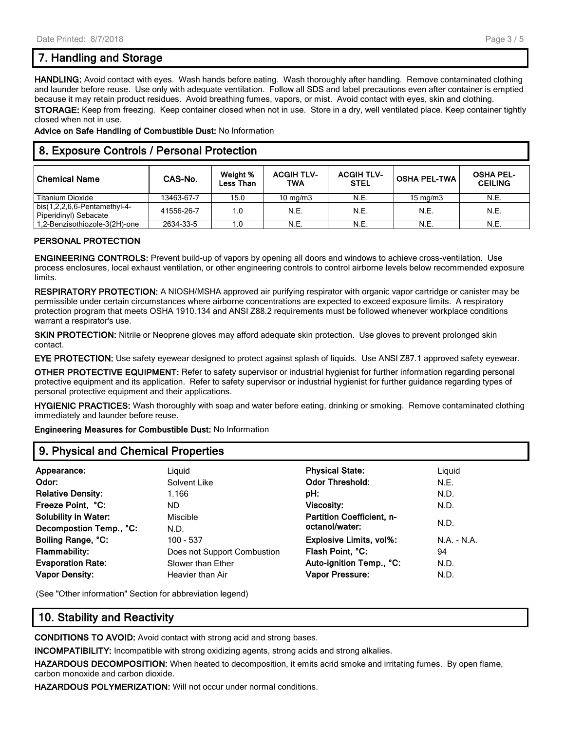# **7. Handling and Storage**

**HANDLING:** Avoid contact with eyes. Wash hands before eating. Wash thoroughly after handling. Remove contaminated clothing and launder before reuse. Use only with adequate ventilation. Follow all SDS and label precautions even after container is emptied because it may retain product residues. Avoid breathing fumes, vapors, or mist. Avoid contact with eyes, skin and clothing. **STORAGE:** Keep from freezing. Keep container closed when not in use. Store in a dry, well ventilated place. Keep container tightly closed when not in use.

**Advice on Safe Handling of Combustible Dust:** No Information

# **8. Exposure Controls / Personal Protection**

| <b>Chemical Name</b>                                      | CAS-No.    | Weight %<br>Less Than | <b>ACGIH TLV-</b><br>TWA | <b>ACGIH TLV-</b><br><b>STEL</b> | <b>OSHA PEL-TWA</b> | <b>OSHA PEL-</b><br><b>CEILING</b> |
|-----------------------------------------------------------|------------|-----------------------|--------------------------|----------------------------------|---------------------|------------------------------------|
| Titanium Dioxide                                          | 13463-67-7 | 15.0                  | $10 \text{ mg/m}$        | N.E.                             | $15 \text{ mg/m}$   | N.E.                               |
| bis $(1,2,2,6,6$ -Pentamethyl-4-<br>Piperidinyl) Sebacate | 41556-26-7 | 1.0                   | <b>N.E.</b>              | N.E.                             | N.E.                | N.E.                               |
| 1.2-Benzisothiozole-3(2H)-one                             | 2634-33-5  | 1.0                   | N.E.                     | N.E.                             | N.E.                | N.E.                               |

#### **PERSONAL PROTECTION**

**ENGINEERING CONTROLS:** Prevent build-up of vapors by opening all doors and windows to achieve cross-ventilation. Use process enclosures, local exhaust ventilation, or other engineering controls to control airborne levels below recommended exposure limits.

**RESPIRATORY PROTECTION:** A NIOSH/MSHA approved air purifying respirator with organic vapor cartridge or canister may be permissible under certain circumstances where airborne concentrations are expected to exceed exposure limits. A respiratory protection program that meets OSHA 1910.134 and ANSI Z88.2 requirements must be followed whenever workplace conditions warrant a respirator's use.

**SKIN PROTECTION:** Nitrile or Neoprene gloves may afford adequate skin protection. Use gloves to prevent prolonged skin contact.

**EYE PROTECTION:** Use safety eyewear designed to protect against splash of liquids. Use ANSI Z87.1 approved safety eyewear.

**OTHER PROTECTIVE EQUIPMENT:** Refer to safety supervisor or industrial hygienist for further information regarding personal protective equipment and its application. Refer to safety supervisor or industrial hygienist for further guidance regarding types of personal protective equipment and their applications.

**HYGIENIC PRACTICES:** Wash thoroughly with soap and water before eating, drinking or smoking. Remove contaminated clothing immediately and launder before reuse.

**Engineering Measures for Combustible Dust:** No Information

#### **9. Physical and Chemical Properties**

| Appearance:                 | Liguid                      | <b>Physical State:</b>           | Liguid        |  |
|-----------------------------|-----------------------------|----------------------------------|---------------|--|
| Odor:                       | Solvent Like                | <b>Odor Threshold:</b>           | N.E.          |  |
| <b>Relative Density:</b>    | 1.166                       | pH:                              | N.D.          |  |
| Freeze Point, °C:           | ND.                         | <b>Viscosity:</b>                | N.D.          |  |
| <b>Solubility in Water:</b> | Miscible                    | <b>Partition Coefficient, n-</b> |               |  |
| Decompostion Temp., °C:     | N.D.                        | octanol/water:                   | N.D.          |  |
| Boiling Range, °C:          | 100 - 537                   | <b>Explosive Limits, vol%:</b>   | $N.A. - N.A.$ |  |
| <b>Flammability:</b>        | Does not Support Combustion | Flash Point, °C:                 | 94            |  |
| <b>Evaporation Rate:</b>    | Slower than Ether           | Auto-ignition Temp., °C:         | N.D.          |  |
| <b>Vapor Density:</b>       | Heavier than Air            | <b>Vapor Pressure:</b>           | N.D.          |  |
|                             |                             |                                  |               |  |

(See "Other information" Section for abbreviation legend)

# **10. Stability and Reactivity**

**CONDITIONS TO AVOID:** Avoid contact with strong acid and strong bases.

**INCOMPATIBILITY:** Incompatible with strong oxidizing agents, strong acids and strong alkalies.

**HAZARDOUS DECOMPOSITION:** When heated to decomposition, it emits acrid smoke and irritating fumes. By open flame, carbon monoxide and carbon dioxide.

**HAZARDOUS POLYMERIZATION:** Will not occur under normal conditions.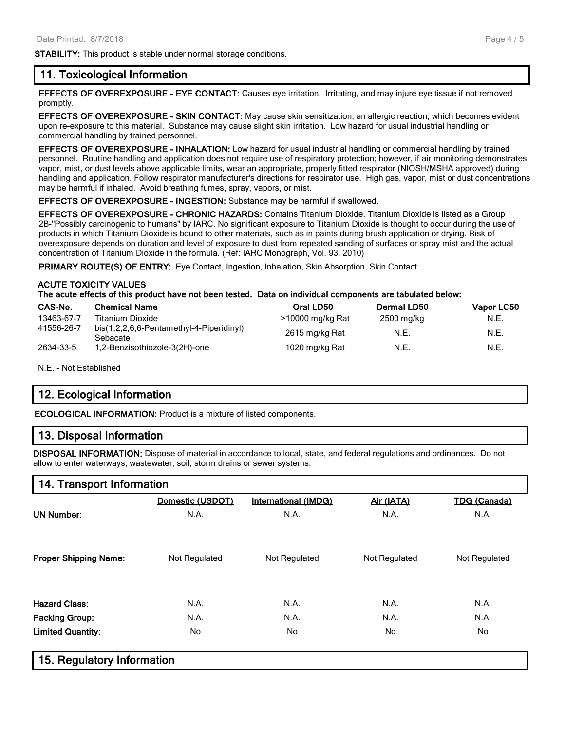**STABILITY:** This product is stable under normal storage conditions.

#### **11. Toxicological Information**

**EFFECTS OF OVEREXPOSURE - EYE CONTACT:** Causes eye irritation. Irritating, and may injure eye tissue if not removed promptly.

**EFFECTS OF OVEREXPOSURE - SKIN CONTACT:** May cause skin sensitization, an allergic reaction, which becomes evident upon re-exposure to this material. Substance may cause slight skin irritation. Low hazard for usual industrial handling or commercial handling by trained personnel.

**EFFECTS OF OVEREXPOSURE - INHALATION:** Low hazard for usual industrial handling or commercial handling by trained personnel. Routine handling and application does not require use of respiratory protection; however, if air monitoring demonstrates vapor, mist, or dust levels above applicable limits, wear an appropriate, properly fitted respirator (NIOSH/MSHA approved) during handling and application. Follow respirator manufacturer's directions for respirator use. High gas, vapor, mist or dust concentrations may be harmful if inhaled. Avoid breathing fumes, spray, vapors, or mist.

**EFFECTS OF OVEREXPOSURE - INGESTION:** Substance may be harmful if swallowed.

**EFFECTS OF OVEREXPOSURE - CHRONIC HAZARDS:** Contains Titanium Dioxide. Titanium Dioxide is listed as a Group 2B-"Possibly carcinogenic to humans" by IARC. No significant exposure to Titanium Dioxide is thought to occur during the use of products in which Titanium Dioxide is bound to other materials, such as in paints during brush application or drying. Risk of overexposure depends on duration and level of exposure to dust from repeated sanding of surfaces or spray mist and the actual concentration of Titanium Dioxide in the formula. (Ref: IARC Monograph, Vol. 93, 2010)

**PRIMARY ROUTE(S) OF ENTRY:** Eye Contact, Ingestion, Inhalation, Skin Absorption, Skin Contact

#### **ACUTE TOXICITY VALUES**

**The acute effects of this product have not been tested. Data on individual components are tabulated below:**

| CAS-No.    | <b>Chemical Name</b>                                 | Oral LD50        | <b>Dermal LD50</b> | Vapor LC50 |
|------------|------------------------------------------------------|------------------|--------------------|------------|
| 13463-67-7 | Titanium Dioxide                                     | >10000 mg/kg Rat | 2500 mg/kg         | N.E.       |
| 41556-26-7 | bis(1,2,2,6,6-Pentamethyl-4-Piperidinyl)<br>Sebacate | 2615 mg/kg Rat   | N.E.               | N.E.       |
| 2634-33-5  | 1,2-Benzisothiozole-3(2H)-one                        | 1020 mg/kg Rat   | N.E.               | N.E.       |

N.E. - Not Established

# **12. Ecological Information**

**ECOLOGICAL INFORMATION:** Product is a mixture of listed components.

#### **13. Disposal Information**

**DISPOSAL INFORMATION:** Dispose of material in accordance to local, state, and federal regulations and ordinances. Do not allow to enter waterways, wastewater, soil, storm drains or sewer systems.

# **14. Transport Information**

|                              | Domestic (USDOT) | <b>International (IMDG)</b> | Air (IATA)    | <b>TDG (Canada)</b> |
|------------------------------|------------------|-----------------------------|---------------|---------------------|
| <b>UN Number:</b>            | N.A.             | N.A.                        | N.A.          | N.A.                |
|                              |                  |                             |               |                     |
| <b>Proper Shipping Name:</b> | Not Regulated    | Not Regulated               | Not Regulated | Not Regulated       |
| <b>Hazard Class:</b>         | N.A.             |                             | N.A.          | N.A.                |
|                              |                  | N.A.                        |               |                     |
| <b>Packing Group:</b>        | N.A.             | N.A.                        | N.A.          | N.A.                |
| <b>Limited Quantity:</b>     | No               | No.                         | No.           | No                  |